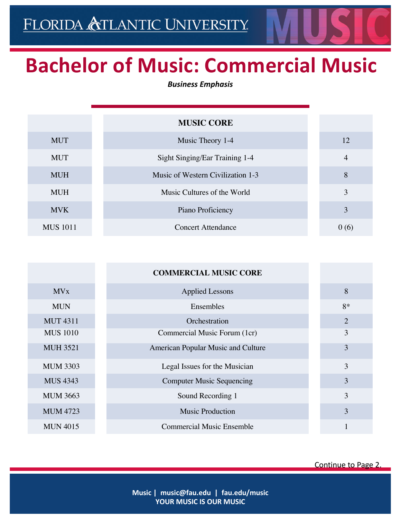## **Bachelor of Music: Commercial Music**

*Business Emphasis*

|                 | <b>MUSIC CORE</b>                 |                |
|-----------------|-----------------------------------|----------------|
| <b>MUT</b>      | Music Theory 1-4                  | 12             |
| <b>MUT</b>      | Sight Singing/Ear Training 1-4    | $\overline{4}$ |
| <b>MUH</b>      | Music of Western Civilization 1-3 | 8              |
| <b>MUH</b>      | Music Cultures of the World       | 3              |
| <b>MVK</b>      | Piano Proficiency                 | 3              |
| <b>MUS</b> 1011 | <b>Concert Attendance</b>         | 0(6)           |

|                        | <b>COMMERCIAL MUSIC CORE</b>       |                |
|------------------------|------------------------------------|----------------|
| <b>MV</b> <sub>x</sub> | <b>Applied Lessons</b>             | 8              |
| <b>MUN</b>             | Ensembles                          | $8*$           |
| <b>MUT 4311</b>        | Orchestration                      | $\overline{2}$ |
| <b>MUS 1010</b>        | Commercial Music Forum (1cr)       | 3              |
| <b>MUH 3521</b>        | American Popular Music and Culture | 3              |
| <b>MUM 3303</b>        | Legal Issues for the Musician      | 3              |
| <b>MUS 4343</b>        | <b>Computer Music Sequencing</b>   | 3              |
| <b>MUM 3663</b>        | Sound Recording 1                  | 3              |
| <b>MUM 4723</b>        | <b>Music Production</b>            | 3              |
| <b>MUN 4015</b>        | <b>Commercial Music Ensemble</b>   |                |

Continue to Page 2.

**Music | music@fau.edu | fau.edu/music YOUR MUSIC IS OUR MUSIC**